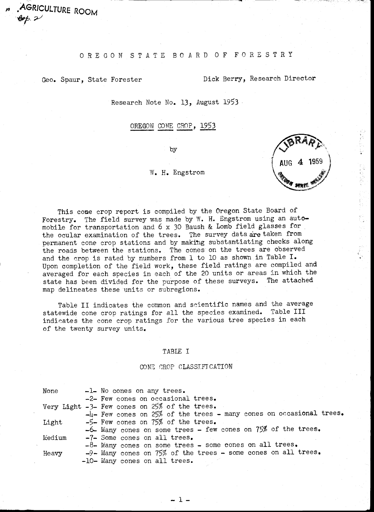## O R E G O N S T A T E B O A R D O F F O R E S T R Y

AGRICULTURE ROOM

Geo. Spaur, State Forester **Dick Berry, Research Director** 

Research Note No. 13, August 1953

OREGON CONE CROP, 1953

by

#### W. H. Engstrom

AUG 4

This cone crop report is compiled by the Oregon State Board of<br>stry. The field survey was made by W. H. Engstrom using an auto-Forestry. The field survey was made by W. H. Engstrom using an automobile for transportation and 6 x 30 Baush & Lomb field glasses for the ocular examination of the trees. The survey data are taken from permanent cone crop stations and by making substantiating checks along the roads between the stations. The cones on the trees are observed and the crop is rated by numbers from 1 to 10 as shown in Table I. Upon completion of the field work, these field ratings are compiled and averaged for each species in each of the 20 units or areas in which the state has been divided for the purpose of these surveys. The attached map delineates these units or subregions.

Table II indicates the common and scientific names and the average statewide cone crop ratings for all the species examined. Table III indicates the cone crop ratings for the various tree species in each of the twenty survey units.

#### TABLE I

#### CONE CROP CLASSIFICATION

| None   | -1- No cones on any trees.                                             |  |
|--------|------------------------------------------------------------------------|--|
|        | -2- Few cones on occasional trees.                                     |  |
|        | Very Light $-3$ - Few cones on 25% of the trees.                       |  |
|        | $-4$ - Few cones on 25% of the trees - many cones on occasional trees. |  |
| Light  | $-5$ - Few cones on 75% of the trees.                                  |  |
|        | -6- Many cones on some trees - few cones on 75% of the trees.          |  |
| Medium | -7- Some cones on all trees.                                           |  |
|        | $-8$ - Many cones on some trees - some cones on all trees.             |  |
| Heavy  | $-9$ - Many cones on $75\%$ of the trees - some cones on all trees.    |  |
|        | -10- Many cones on all trees.                                          |  |

1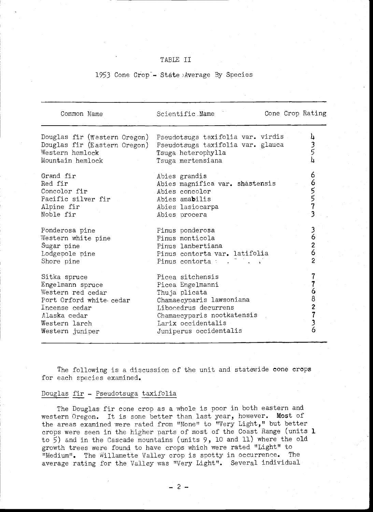## TABLE II

## 1953 Cone Crop<sup>-</sup>- State Average By Species

| Common Name                                                                                                                                           | Cone Crop Rating<br>Scientific Name                                                                                                                                                     |                                                     |
|-------------------------------------------------------------------------------------------------------------------------------------------------------|-----------------------------------------------------------------------------------------------------------------------------------------------------------------------------------------|-----------------------------------------------------|
| Douglas fir (Western Oregon)<br>Douglas fir (Eastern Oregon)<br>Western hemlock<br>Mountain hemlock                                                   | Pseudotsuga taxifolia var. virdis<br>Pseudotsuga taxifolia var. glauca<br>Tsuga heterophylla<br>Tsuga mertensiana                                                                       | 4                                                   |
| Grand fir<br>Red fir<br>Concolor fir<br>Pacific silver fir<br>Alpine fir<br>Noble fir                                                                 | Abies grandis<br>Abies magnifica var. shastensis<br>Abies concolor<br>Abies amabilis<br>Abies lasiocarpa<br>Abies procera                                                               | 6<br>5<br>5<br>3                                    |
| Ponderosa pine<br>Western white pine<br>Sugar pine<br>Lodgepole pine<br>Shore pine                                                                    | Pinus ponderosa<br>Pinus monticola<br>Pinus lanbertiana<br>Pinus contorta var. latifolia<br>Pinus contorta : .                                                                          | 6<br>$\overline{\mathbf{c}}$<br>6<br>$\overline{c}$ |
| Sitka spruce<br>Engelmann spruce<br>Western red cedar<br>Port Orford white cedar<br>Incense cedar<br>Alaska cedar<br>Western larch<br>Western juniper | Picea sitchensis<br>Picea Engelmanni<br>Thuja plicata<br>Chamaecyparis lawsoniana<br>Libocedrus decurrens<br>Chamaecyparis nootkatensis<br>Larix occidentalis<br>Juniperus occidentalis | 6<br>8<br>6                                         |

The following is a discussion of the unit and statewide cone crops for each species examined.

## Douglas fir - Pseudotsuga taxifolia

The Douglas fir cone crop as a whole is poor in both eastern and western Oregon. It is some better than last year, however. Most of the areas examined were rated from "None" to "Very Light," but better crops were seen in the higher parts of most of the Coast Range (units 1 to 5) and in the Cascade mountains (units 9, 10 and 11) where the old growth trees were found to have crops which were rated "Light" to "Medium". The Willamette Valley crop is spotty in occurrence. The average rating for the Valley was "Very Light". Several individual

 $-2-$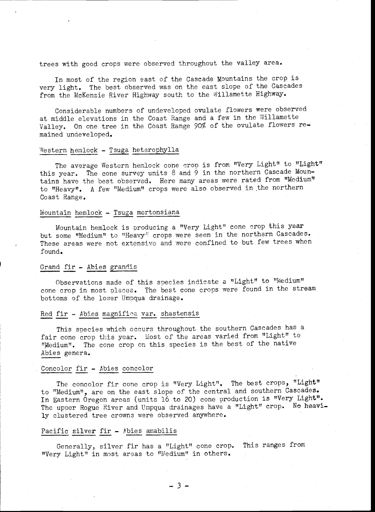## trees with good crops were observed throughout the valley area.

In most of the region east of the Cascade Mountains the crop is very light. The best observed was on the east slope of the Cascades from the McKenzie River Highway south to the Willamette Highway.

Considerable numbers of undeveloped ovulate flowers were observed at middle elevations in the Coast Range and a few in the Willamette Valley. On one. tree in the Coast Range 90% of the ovulate flowers remained undeveloped.

## Western hemlock - Tsuga heterophylla

The average Western hemlock cone crop is from "Very Light" to "Light" this year. The cone survey units  $8$  and  $9$  in the northern Cascade Mountains have the best observed. Here many areas were rated from "Medium" to "Heavy". A few "Medium" crops were also observed in,the northern Coast Range.

#### Mountain hemlock - Tsuga mertonsiana

Mountain hemlock is producing a "Very Light" cone crop this year but some "Medium" to "Heavy<sup>"</sup> crops were seen in the northern Cascades. These areas were not extensive and were confined to but few trees when found.

#### Grand fir - Abies grandis

Observations made of this species indicate a "Light" to "Medium" cone crop in most places. The best cone crops were found in the stream bottoms of the lower Umpqua drainage.

#### Red fir - Abies magnifica var. shastensis

This species which occurs throughout the southern Cascades has a fair cone crop this year. Most of the areas varied from "Light" to "Medium". The cone crop on this species is the best of the native Abies genera.

## Concolor fir - Abies concolor

The concolor fir cone crop is "Very Light". The best crops, "Light" to "Medium", are on the east slope of the central and southern Cascades. In Eastern Oregon areas (units 16 to 20) cone production is "Very Light". The upper Rogue River and Umpqua drainages have a "Light" crop. No heavily clustered tree crowns were observed anywhere.

#### Pacific silver fir - Abies amabilis

Generally, silver fir has a "Light" cone crop. This ranges from "Very Light" in most areas to "11edium" in others.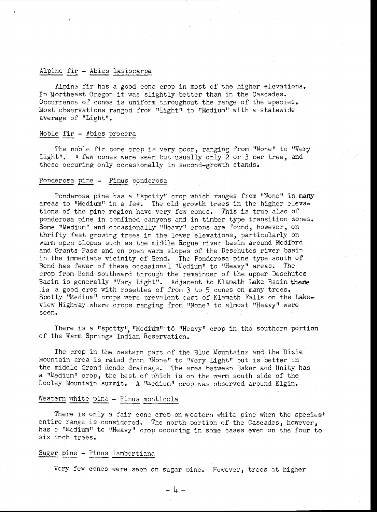## Alpine fir - Abies lasiocarpa

Alpine fir has a good cone crop in most of the higher elevations. In Northeast Oregon it was slightly better than in the Cascades. Occurrence of cones is uniform throughout the range of the species. Most observations ranged from "Light" to "Medium" with a statewide average of "Light".

## Noble fir - Abies procera

The noble fir cone crop is very poor, ranging from "None" to "Very Light". A few cones were seen but usually only 2 or 3 per tree, and these occuring only occasionally in second-growth stands.

#### Ponderosa pine - Pinus ponderosa

Ponderosa pine has a "spotty" crop which ranges from "None" in many areas to "Medium" in a few. The old growth trees in the higher elevations of the pine region have very few cones. This is true also of ponderosa pine in confined canyons and in timber type transition zones. Some "Medium" and occasionally "Heavy" crops are found, however, on thrifty fast growing trees in the lower elevations, particularly on warm open slopes such as the middle Rogue river basin around Medford and Grants Pass and on open warm slopes of the Deschutes river basin in the immediate vicinity of Bend. The Ponderosa pine type south of Bend has fewer of these occasional "Medium" to "Heavy" areas. The crop from Bend southward through the remainder of the upper Deschutes Basin is generally "Very Light". Adjacent to Klamath Lake Basin there is a good.crop with rosettes of from 3 to 5 cones on many trees. Spotty "Medium" crops were prevalent east of Klamath Falls on the Lakeview Highway,where crops ranging from "None" to almost "Heavy" were seen.

There is a "spotty" "Medium" to "Heavy" crop in the southern portion of the Warm Springs Indian Reservation.

The crop in the western part of the Blue Mountains and the Dixie Mountain area is rated from "None" to "Very Light" but is better in the middle Grand Ronde drainage. The area between Baker and Unity has a "Medium" crop, the best of which is on the warm south side of the Dooley Mountain summit. A "Medium" crop was observed around Elgin.

## Western white pine - Pinus monticola

There is only a fair cone crop on Western white pine when the species' entire range is considered. The north portion of the Cascades, however, has a "Medium" to "Heavy" crop occuring in some cases even on the four to six inch trees.

#### Sugar pine - Pinus lambertiana

Very few cones were seen on sugar pine. However, trees at higher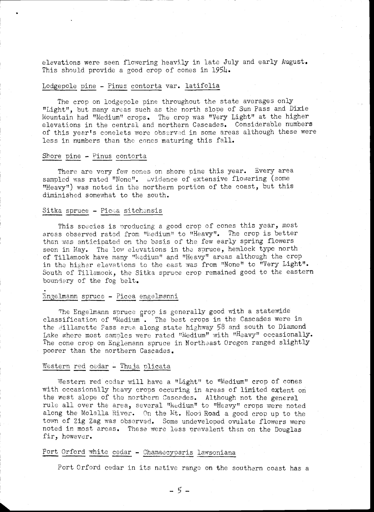elevations were seen flowering heavily in late July and early August. This should provide a good crop of cones in 1954.

#### Lodgepole pine - Pinus contorta var. latifolia

The crop on lodgepole pine throughout the state averages only "Light", but many areas such as the north slope of Sun Pass and Dixie Mountain had "Medium" crops. The crop was "Very Light" at the higher elevations in the central and northern Cascades. Considerable numbers of this year's conelets were observed in some areas although these were less in numbers than the cones maturing this fall.

#### Shore pine - Pinus contorta

There are very few cones on shore pine this year. Every area sampled was rated "None". Dvidence of extensive flowering (some "Heavy") was noted in the northern portion of the coast, but this diminished somewhat to the south.

#### Sitka spruce - Picea sitchensis

This species is producing a good crop of cones this year, most areas observed rated from "Medium" to "Heavy". The crop is better than was anticipated on the basis of the few early spring flowers seen in May. The low elevations in the spruce, hemlock type north of Tillamook have many "Medium" and "Heavy" areas although the crop in the higher elevations to the east was from "None" to "Very Light". South of Tillamook, the Sitka spruce crop remained good to the eastern boundary of the fog belt.

#### Engelmann spruce - Picea engelmanni

The Engelmann spruce crop is generally good with a statewide classification of "Medium". The best crops in the Cascades were in the Willamette Pass area along state highway 58 and south to Diamond Lake where most samples were rated "Medium" with "Heavy" occasionally. The cone crop on Englemann spruce in Northeast Oregon ranged slightly poorer than the northern Cascades.

#### Western red cedar - Thuja plicata

Western red cedar will have a "Light" to "Medium" crop of cones with occasionally heavy crops occuring in areas of limited extent on the west slope of the northern Cascades. Although not the general rule all over the area, several "Medium" to "Heavy" crops were noted along the Molalla River. On the Mt. Hood Road a good crop up to the town of Zig Zag was observed. Some undeveloped ovulate flowers were noted in most areas. These were less urevalent than on the Douglas fir, however.

# Port Orford white cedar - Chamaecyparis lawsoniana

Port Orford cedar in its native range on the southern coast has a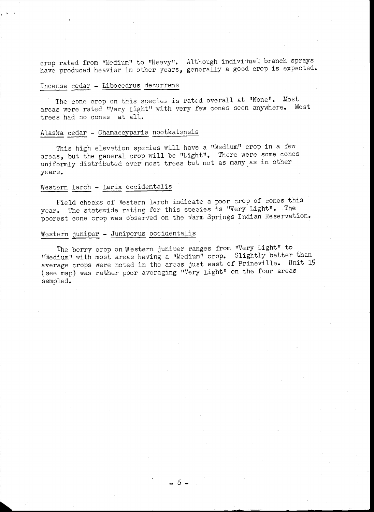crop rated from "Medium" to "Heavy". Although individual branch sprays have produced heavier in other years, generally a good crop is expected.

### Incense cedar - Libocedrus decurrens

The cone crop on this species is rated overall at "None". Most areas were rated "Very Light" with very few cones seen anywhere. Most trees had no cones at all.

## Alaska cedar - Chamaecyparis nootkatensis

This high elevation species will have a "Medium" crop in a few areas, but the general crop will be "Light". There were some cones uniformly distributed over most trees but not as many as in other years.

## Western larch - Larix occidentalis

Field checks of 'Vestern larch indicate a poor crop of cones this year. The statewide rating for this species is "Very Light". The poorest cone crop was observed on the Warm Springs Indian Reservation.

## Western juniper - Juniperus occidentalis

The berry crop on Western juniper ranges from "Very Light" to "Medium" with most areas having a "Medium" crop. Slightly better than average crops were noted in the areas just east of Prineville. Unit 15 (see map) was rather poor averaging "Very Light" on the four areas sampled.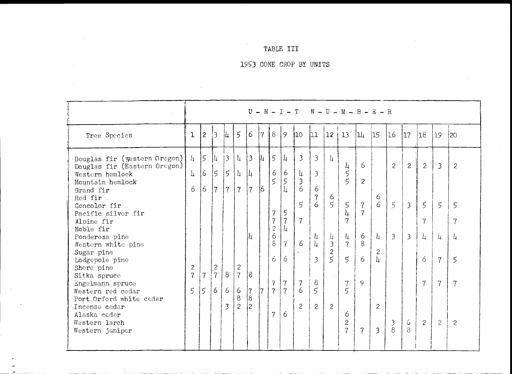# TABLE III

1953 CONE CROP BY UNITS

|                                                                                                                                                                                                                                                                                                                                                                                                                                             |                                                                                   |                                                               |                                                                   |                                                                    |                                                                                                                      | $U -$                                                                                          |                           |                                                                                                                                   |                                                                                                                                     |                                                                                                                          |                                                                                                                                                                                    |                                                                                                                                                          | $N - I - T$ $N - U - M - B - E - R$                                                                                                                                 |                                                                                         |                                                           |                                                                                   |                                                                                       |                                                                                        |                                                                                                             |                                                                                                                 |
|---------------------------------------------------------------------------------------------------------------------------------------------------------------------------------------------------------------------------------------------------------------------------------------------------------------------------------------------------------------------------------------------------------------------------------------------|-----------------------------------------------------------------------------------|---------------------------------------------------------------|-------------------------------------------------------------------|--------------------------------------------------------------------|----------------------------------------------------------------------------------------------------------------------|------------------------------------------------------------------------------------------------|---------------------------|-----------------------------------------------------------------------------------------------------------------------------------|-------------------------------------------------------------------------------------------------------------------------------------|--------------------------------------------------------------------------------------------------------------------------|------------------------------------------------------------------------------------------------------------------------------------------------------------------------------------|----------------------------------------------------------------------------------------------------------------------------------------------------------|---------------------------------------------------------------------------------------------------------------------------------------------------------------------|-----------------------------------------------------------------------------------------|-----------------------------------------------------------|-----------------------------------------------------------------------------------|---------------------------------------------------------------------------------------|----------------------------------------------------------------------------------------|-------------------------------------------------------------------------------------------------------------|-----------------------------------------------------------------------------------------------------------------|
| Tree Species                                                                                                                                                                                                                                                                                                                                                                                                                                | ı                                                                                 | $\overline{c}$                                                | 13                                                                | 让                                                                  | $\overline{5}$                                                                                                       | 6                                                                                              | 7                         | $\delta$                                                                                                                          | 9                                                                                                                                   | I <sub>10</sub>                                                                                                          | 11                                                                                                                                                                                 | 12                                                                                                                                                       | 13                                                                                                                                                                  | 11                                                                                      | 15                                                        | 16                                                                                | 117                                                                                   | 18                                                                                     | 19                                                                                                          | 20                                                                                                              |
| Douglas fir (Western Oregon)<br>Douglas fir (Eastern Oregon)<br>Western hemlock<br>Mountain hemlock<br>Grand fir<br>Red fir<br>Concolor fir<br>Pacific silver fir<br>Alpine fir<br>Noble fir<br>Ponderosa pine<br>Western white pine<br>Sugar pine<br>Lodgepole pine<br>Shore pine<br>Sitka spruce<br>Engelmann spruce<br>Western red cedar<br>Port Orford white cedar<br>Incense cedar<br>Alaska cedar<br>Western larch<br>Western juniper | $\frac{1}{4}$<br>$\perp$<br>6<br>$\mathbf{2}$<br>$\overline{7}$<br>$\mathfrak{s}$ | $\mathfrak{s}$<br>6<br>16<br>$\overline{7}$<br>$\overline{5}$ | l <br>15<br>$\overline{7}$<br>$\mathbf{c}$<br>7 <sup>°</sup><br>6 | 13<br>$\overline{5}$<br>$\overline{7}$<br>8 <sup>8</sup><br>6<br>3 | $\downarrow$<br>$\frac{1}{4}$<br>$\overline{7}$<br>$\mathbf{2}$<br>$\overline{7}$<br>6<br>$\delta$<br>$\overline{c}$ | $\overline{3}$<br>$ l_1$<br>$\overline{7}$<br>4<br>8<br>17<br>$\overline{8}$<br>$\overline{c}$ | 扎<br>$\overline{6}$<br>17 | $\mathfrak{h}$<br>6<br>$\mathbf 5$<br>7<br>$\overline{7}$<br>$\mathbf{c}$<br>6<br>8<br>6<br>$\overline{7}$<br>$\overline{7}$<br>7 | $\frac{1}{2}$<br>6<br>5<br>$\mathbf{h}$<br>5<br>$\overline{7}$<br>4<br>$\overline{7}$<br>6<br>$\overline{7}$<br>$\overline{7}$<br>6 | $\mathfrak{Z}$<br>4<br>$\mathfrak{Z}$<br>6<br>$\overline{5}$<br>$\overline{7}$<br>6<br>$\epsilon$<br>6<br>$\overline{c}$ | $\overline{3}$<br>$\overline{\mathcal{E}}$<br>6<br>$\overline{7}$<br>$\ddot{6}$<br>4<br>$\overline{\mu}$<br>$\overline{3}$<br>$\boldsymbol{8}$<br>$\overline{5}$<br>$\overline{c}$ | $\frac{1}{4}$<br>6<br>5<br>$\frac{1}{4}$<br>$\overline{\mathbf{3}}$<br>$\overline{c}$<br>$\overline{5}$<br>$\mathcal{L}^{\mathcal{L}}$<br>$\overline{2}$ | 4<br>5<br>$\tilde{5}$<br>$\mathfrak{S}$<br>4<br>7<br>$\frac{1}{4}$<br>$\overline{7}$<br>$5\overline{)}$<br>$\overline{7}$<br>$\mathbf{5}$<br>6<br>$\mathbf{c}$<br>7 | 6<br>$\overline{c}$<br>$\overline{7}$<br>$\overline{7}$<br>6<br>$\delta$<br>6<br>9<br>7 | 6<br>6<br>$\frac{1}{4}$<br>2<br>h.<br>2<br>$\overline{3}$ | $\overline{2}$<br>$\varsigma$<br>$\overline{3}$<br>$\mathfrak{Z}$<br>$\mathbf{8}$ | $\mathbf{2}$<br>$\overline{\mathcal{E}}$<br>$\overline{\mathcal{E}}$<br>6<br>$\delta$ | $\overline{c}$<br>$5^{\circ}$<br>$\overline{7}$<br>$\perp$<br>6<br>$\overline{7}$<br>2 | $\mathfrak{Z}$<br>$\overline{5}$<br>$\perp$<br>$\overline{7}$<br>$\overline{7}$<br>$\sim$<br>$\overline{2}$ | 2<br>$\overline{5}$<br>$\overline{7}$<br>$\overline{\mu}$<br>$\overline{5}$<br>$\overline{7}$<br>$\overline{c}$ |